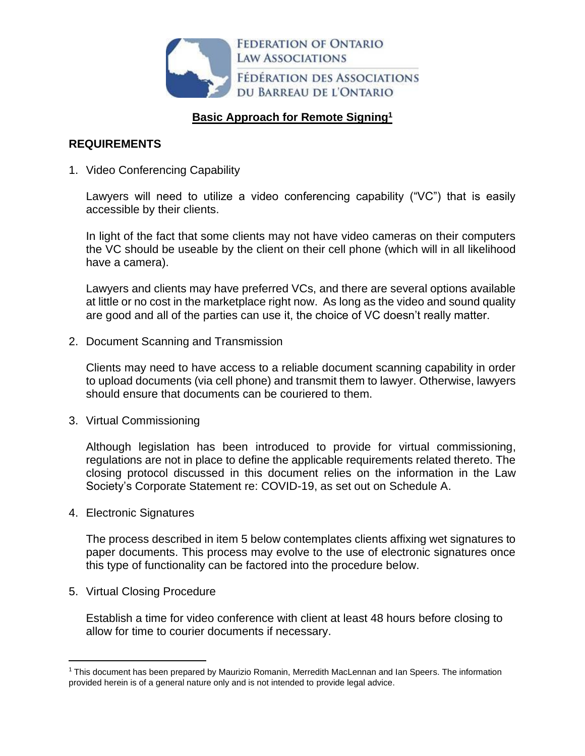

# **Basic Approach for Remote Signing<sup>1</sup>**

## **REQUIREMENTS**

1. Video Conferencing Capability

Lawyers will need to utilize a video conferencing capability ("VC") that is easily accessible by their clients.

In light of the fact that some clients may not have video cameras on their computers the VC should be useable by the client on their cell phone (which will in all likelihood have a camera).

Lawyers and clients may have preferred VCs, and there are several options available at little or no cost in the marketplace right now. As long as the video and sound quality are good and all of the parties can use it, the choice of VC doesn't really matter.

2. Document Scanning and Transmission

Clients may need to have access to a reliable document scanning capability in order to upload documents (via cell phone) and transmit them to lawyer. Otherwise, lawyers should ensure that documents can be couriered to them.

3. Virtual Commissioning

Although legislation has been introduced to provide for virtual commissioning, regulations are not in place to define the applicable requirements related thereto. The closing protocol discussed in this document relies on the information in the Law Society's Corporate Statement re: COVID-19, as set out on Schedule A.

4. Electronic Signatures

The process described in item 5 below contemplates clients affixing wet signatures to paper documents. This process may evolve to the use of electronic signatures once this type of functionality can be factored into the procedure below.

5. Virtual Closing Procedure

Establish a time for video conference with client at least 48 hours before closing to allow for time to courier documents if necessary.

<sup>&</sup>lt;sup>1</sup> This document has been prepared by Maurizio Romanin, Merredith MacLennan and Ian Speers. The information provided herein is of a general nature only and is not intended to provide legal advice.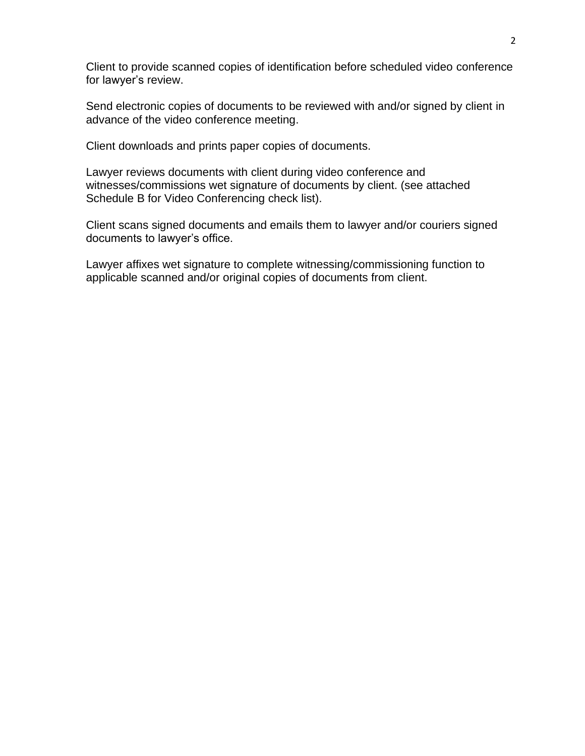Client to provide scanned copies of identification before scheduled video conference for lawyer's review.

Send electronic copies of documents to be reviewed with and/or signed by client in advance of the video conference meeting.

Client downloads and prints paper copies of documents.

Lawyer reviews documents with client during video conference and witnesses/commissions wet signature of documents by client. (see attached Schedule B for Video Conferencing check list).

Client scans signed documents and emails them to lawyer and/or couriers signed documents to lawyer's office.

Lawyer affixes wet signature to complete witnessing/commissioning function to applicable scanned and/or original copies of documents from client.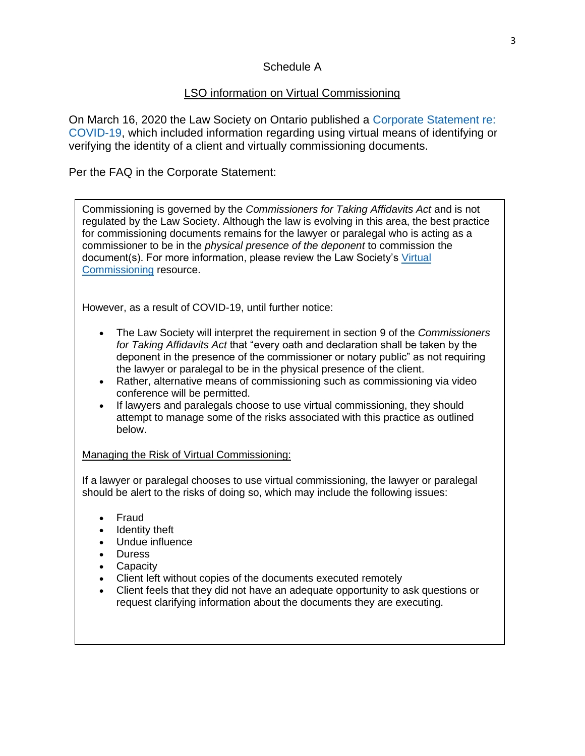# Schedule A

# LSO information on Virtual Commissioning

On March 16, 2020 the Law Society on Ontario published a [Corporate Statement re:](https://lso.ca/news-events/news/corporate-statement-re-covid-19)  [COVID-19,](https://lso.ca/news-events/news/corporate-statement-re-covid-19) which included information regarding using virtual means of identifying or verifying the identity of a client and virtually commissioning documents.

## Per the FAQ in the Corporate Statement:

Commissioning is governed by the *Commissioners for Taking Affidavits Act* and is not regulated by the Law Society. Although the law is evolving in this area, the best practice for commissioning documents remains for the lawyer or paralegal who is acting as a commissioner to be in the *physical presence of the deponent* to commission the document(s). For more information, please review the Law Society's [Virtual](https://lso.ca/lawyers/practice-supports-and-resources/topics/the-lawyer-client-relationship/commissioner-for-taking-affidavits-and-notary-publ/virtual-commissioning)  [Commissioning](https://lso.ca/lawyers/practice-supports-and-resources/topics/the-lawyer-client-relationship/commissioner-for-taking-affidavits-and-notary-publ/virtual-commissioning) resource.

However, as a result of COVID-19, until further notice:

- The Law Society will interpret the requirement in section 9 of the *Commissioners for Taking Affidavits Act* that "every oath and declaration shall be taken by the deponent in the presence of the commissioner or notary public" as not requiring the lawyer or paralegal to be in the physical presence of the client.
- Rather, alternative means of commissioning such as commissioning via video conference will be permitted.
- If lawyers and paralegals choose to use virtual commissioning, they should attempt to manage some of the risks associated with this practice as outlined below.

### Managing the Risk of Virtual Commissioning:

If a lawyer or paralegal chooses to use virtual commissioning, the lawyer or paralegal should be alert to the risks of doing so, which may include the following issues:

- Fraud
- Identity theft
- Undue influence
- Duress
- Capacity
- Client left without copies of the documents executed remotely
- Client feels that they did not have an adequate opportunity to ask questions or request clarifying information about the documents they are executing.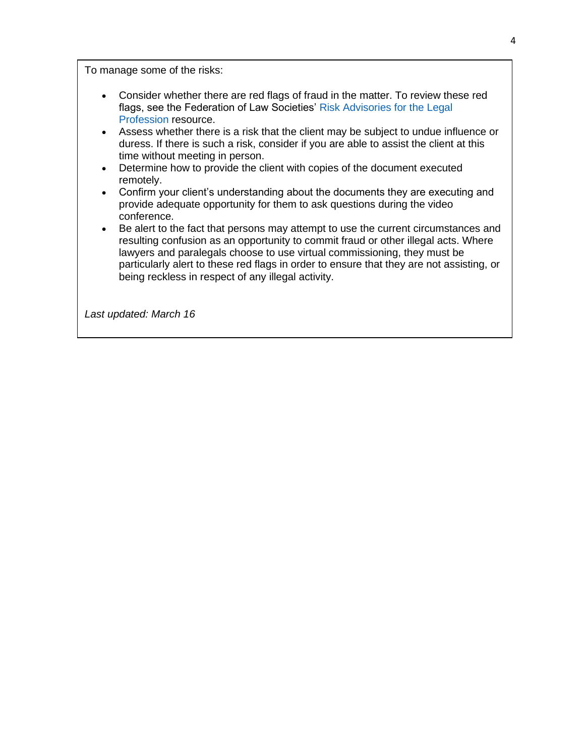To manage some of the risks:

- Consider whether there are red flags of fraud in the matter. To review these red flags, see the Federation of Law Societies' [Risk Advisories for](https://flsc.ca/wp-content/uploads/2020/01/RiskAdvisory6EN.pdf) the Legal [Profession](https://flsc.ca/wp-content/uploads/2020/01/RiskAdvisory6EN.pdf) resource.
- Assess whether there is a risk that the client may be subject to undue influence or duress. If there is such a risk, consider if you are able to assist the client at this time without meeting in person.
- Determine how to provide the client with copies of the document executed remotely.
- Confirm your client's understanding about the documents they are executing and provide adequate opportunity for them to ask questions during the video conference.
- Be alert to the fact that persons may attempt to use the current circumstances and resulting confusion as an opportunity to commit fraud or other illegal acts. Where lawyers and paralegals choose to use virtual commissioning, they must be particularly alert to these red flags in order to ensure that they are not assisting, or being reckless in respect of any illegal activity.

*Last updated: March 16*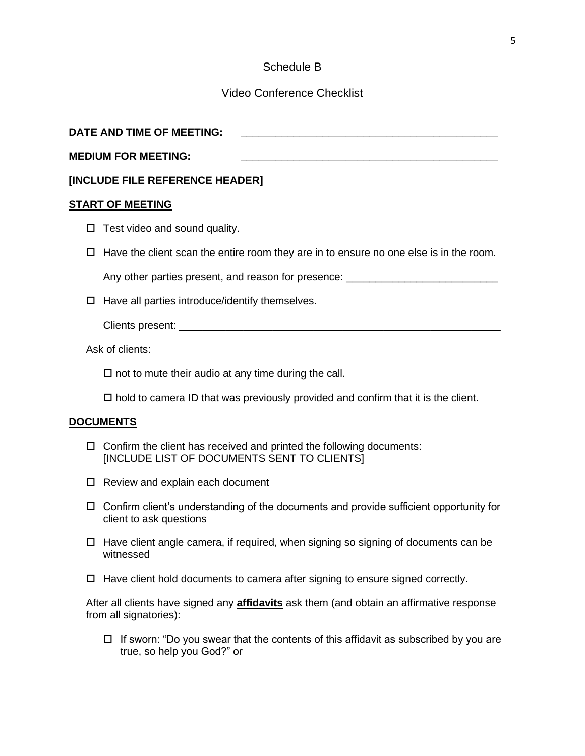## Schedule B

### Video Conference Checklist

| DATE AND TIME OF MEETING:  |  |
|----------------------------|--|
| <b>MEDIUM FOR MEETING:</b> |  |

#### **[INCLUDE FILE REFERENCE HEADER]**

#### **START OF MEETING**

- $\Box$  Test video and sound quality.
- $\Box$  Have the client scan the entire room they are in to ensure no one else is in the room.

Any other parties present, and reason for presence:

 $\Box$  Have all parties introduce/identify themselves.

Clients present: \_\_\_\_\_\_\_\_\_\_\_\_\_\_\_\_\_\_\_\_\_\_\_\_\_\_\_\_\_\_\_\_\_\_\_\_\_\_\_\_\_\_\_\_\_\_\_\_\_\_\_\_\_\_\_

Ask of clients:

 $\Box$  not to mute their audio at any time during the call.

 $\Box$  hold to camera ID that was previously provided and confirm that it is the client.

#### **DOCUMENTS**

- $\Box$  Confirm the client has received and printed the following documents: [INCLUDE LIST OF DOCUMENTS SENT TO CLIENTS]
- □ Review and explain each document
- $\Box$  Confirm client's understanding of the documents and provide sufficient opportunity for client to ask questions
- $\Box$  Have client angle camera, if required, when signing so signing of documents can be witnessed
- $\Box$  Have client hold documents to camera after signing to ensure signed correctly.

After all clients have signed any **affidavits** ask them (and obtain an affirmative response from all signatories):

 $\Box$  If sworn: "Do you swear that the contents of this affidavit as subscribed by you are true, so help you God?" or